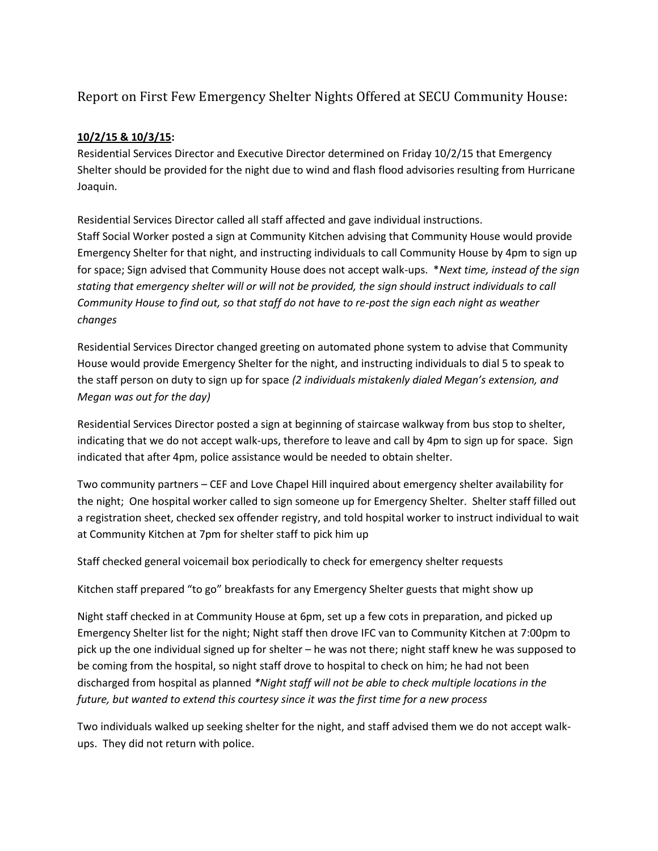## Report on First Few Emergency Shelter Nights Offered at SECU Community House:

## **10/2/15 & 10/3/15:**

Residential Services Director and Executive Director determined on Friday 10/2/15 that Emergency Shelter should be provided for the night due to wind and flash flood advisories resulting from Hurricane Joaquin.

Residential Services Director called all staff affected and gave individual instructions. Staff Social Worker posted a sign at Community Kitchen advising that Community House would provide Emergency Shelter for that night, and instructing individuals to call Community House by 4pm to sign up for space; Sign advised that Community House does not accept walk-ups. \**Next time, instead of the sign stating that emergency shelter will or will not be provided, the sign should instruct individuals to call Community House to find out, so that staff do not have to re-post the sign each night as weather changes*

Residential Services Director changed greeting on automated phone system to advise that Community House would provide Emergency Shelter for the night, and instructing individuals to dial 5 to speak to the staff person on duty to sign up for space *(2 individuals mistakenly dialed Megan's extension, and Megan was out for the day)*

Residential Services Director posted a sign at beginning of staircase walkway from bus stop to shelter, indicating that we do not accept walk-ups, therefore to leave and call by 4pm to sign up for space. Sign indicated that after 4pm, police assistance would be needed to obtain shelter.

Two community partners – CEF and Love Chapel Hill inquired about emergency shelter availability for the night; One hospital worker called to sign someone up for Emergency Shelter. Shelter staff filled out a registration sheet, checked sex offender registry, and told hospital worker to instruct individual to wait at Community Kitchen at 7pm for shelter staff to pick him up

Staff checked general voicemail box periodically to check for emergency shelter requests

Kitchen staff prepared "to go" breakfasts for any Emergency Shelter guests that might show up

Night staff checked in at Community House at 6pm, set up a few cots in preparation, and picked up Emergency Shelter list for the night; Night staff then drove IFC van to Community Kitchen at 7:00pm to pick up the one individual signed up for shelter – he was not there; night staff knew he was supposed to be coming from the hospital, so night staff drove to hospital to check on him; he had not been discharged from hospital as planned *\*Night staff will not be able to check multiple locations in the future, but wanted to extend this courtesy since it was the first time for a new process*

Two individuals walked up seeking shelter for the night, and staff advised them we do not accept walkups. They did not return with police.